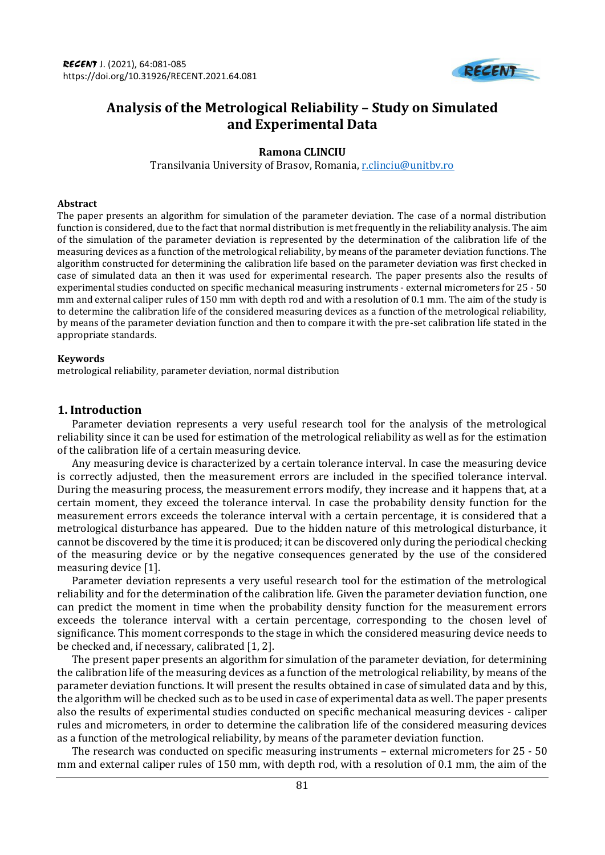

# **Analysis of the Metrological Reliability – Study on Simulated and Experimental Data**

### **Ramona CLINCIU**

Transilvania University of Brasov, Romania, [r.clinciu@unitbv.ro](mailto:r.clinciu@unitbv.ro)

#### **Abstract**

The paper presents an algorithm for simulation of the parameter deviation. The case of a normal distribution function is considered, due to the fact that normal distribution is met frequently in the reliability analysis. The aim of the simulation of the parameter deviation is represented by the determination of the calibration life of the measuring devices as a function of the metrological reliability, by means of the parameter deviation functions. The algorithm constructed for determining the calibration life based on the parameter deviation was first checked in case of simulated data an then it was used for experimental research. The paper presents also the results of experimental studies conducted on specific mechanical measuring instruments - external micrometers for 25 - 50 mm and external caliper rules of 150 mm with depth rod and with a resolution of 0.1 mm. The aim of the study is to determine the calibration life of the considered measuring devices as a function of the metrological reliability, by means of the parameter deviation function and then to compare it with the pre-set calibration life stated in the appropriate standards.

#### **Keywords**

metrological reliability, parameter deviation, normal distribution

#### **1. Introduction**

Parameter deviation represents a very useful research tool for the analysis of the metrological reliability since it can be used for estimation of the metrological reliability as well as for the estimation of the calibration life of a certain measuring device.

Any measuring device is characterized by a certain tolerance interval. In case the measuring device is correctly adjusted, then the measurement errors are included in the specified tolerance interval. During the measuring process, the measurement errors modify, they increase and it happens that, at a certain moment, they exceed the tolerance interval. In case the probability density function for the measurement errors exceeds the tolerance interval with a certain percentage, it is considered that a metrological disturbance has appeared. Due to the hidden nature of this metrological disturbance, it cannot be discovered by the time it is produced; it can be discovered only during the periodical checking of the measuring device or by the negative consequences generated by the use of the considered measuring device [1].

Parameter deviation represents a very useful research tool for the estimation of the metrological reliability and for the determination of the calibration life. Given the parameter deviation function, one can predict the moment in time when the probability density function for the measurement errors exceeds the tolerance interval with a certain percentage, corresponding to the chosen level of significance. This moment corresponds to the stage in which the considered measuring device needs to be checked and, if necessary, calibrated [1, 2].

The present paper presents an algorithm for simulation of the parameter deviation, for determining the calibration life of the measuring devices as a function of the metrological reliability, by means of the parameter deviation functions. It will present the results obtained in case of simulated data and by this, the algorithm will be checked such as to be used in case of experimental data as well. The paper presents also the results of experimental studies conducted on specific mechanical measuring devices - caliper rules and micrometers, in order to determine the calibration life of the considered measuring devices as a function of the metrological reliability, by means of the parameter deviation function.

The research was conducted on specific measuring instruments – external micrometers for 25 - 50 mm and external caliper rules of 150 mm, with depth rod, with a resolution of 0.1 mm, the aim of the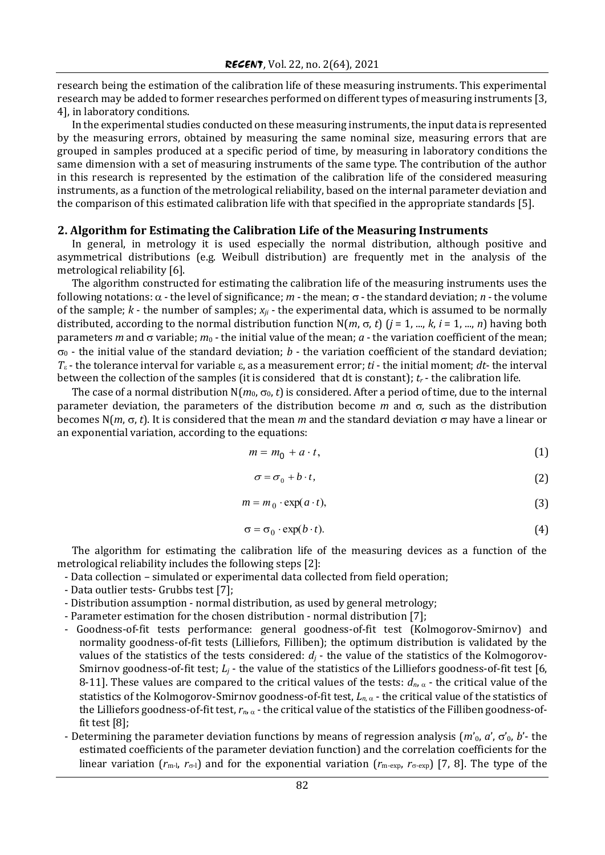research being the estimation of the calibration life of these measuring instruments. This experimental research may be added to former researches performed on different types of measuring instruments [3, 4], in laboratory conditions.

In the experimental studies conducted on these measuring instruments, the input data is represented by the measuring errors, obtained by measuring the same nominal size, measuring errors that are grouped in samples produced at a specific period of time, by measuring in laboratory conditions the same dimension with a set of measuring instruments of the same type. The contribution of the author in this research is represented by the estimation of the calibration life of the considered measuring instruments, as a function of the metrological reliability, based on the internal parameter deviation and the comparison of this estimated calibration life with that specified in the appropriate standards [5].

#### **2. Algorithm for Estimating the Calibration Life of the Measuring Instruments**

In general, in metrology it is used especially the normal distribution, although positive and asymmetrical distributions (e.g. Weibull distribution) are frequently met in the analysis of the metrological reliability [6].

The algorithm constructed for estimating the calibration life of the measuring instruments uses the following notations:  $\alpha$  - the level of significance;  $m$  - the mean;  $\sigma$  - the standard deviation;  $n$  - the volume of the sample; *k* - the number of samples; *xji* - the experimental data, which is assumed to be normally distributed, according to the normal distribution function  $N(m, \sigma, t)$  ( $j = 1, ..., k, i = 1, ..., n$ ) having both parameters *m* and  $\sigma$  variable;  $m_0$  - the initial value of the mean;  $a$  - the variation coefficient of the mean;  $\sigma_0$  - the initial value of the standard deviation; *b* - the variation coefficient of the standard deviation;  $T_{\varepsilon}$  - the tolerance interval for variable  $\varepsilon$ , as a measurement error; *ti* - the initial moment; *dt*- the interval between the collection of the samples (it is considered that dt is constant); *t<sup>r</sup>* - the calibration life.

The case of a normal distribution  $N(m_0, \sigma_0, t)$  is considered. After a period of time, due to the internal parameter deviation, the parameters of the distribution become  $m$  and  $\sigma$ , such as the distribution becomes  $N(m, \sigma, t)$ . It is considered that the mean *m* and the standard deviation  $\sigma$  may have a linear or an exponential variation, according to the equations:

$$
m = m_0 + a \cdot t,\tag{1}
$$

$$
\sigma = \sigma_0 + b \cdot t,\tag{2}
$$

$$
m = m_0 \cdot \exp(a \cdot t),\tag{3}
$$

$$
\sigma = \sigma_0 \cdot \exp(b \cdot t). \tag{4}
$$

The algorithm for estimating the calibration life of the measuring devices as a function of the metrological reliability includes the following steps [2]:

- Data collection simulated or experimental data collected from field operation;
- Data outlier tests- Grubbs test [7];
- Distribution assumption normal distribution, as used by general metrology;
- Parameter estimation for the chosen distribution normal distribution [7];
- Goodness-of-fit tests performance: general goodness-of-fit test (Kolmogorov-Smirnov) and normality goodness-of-fit tests (Lilliefors, Filliben); the optimum distribution is validated by the values of the statistics of the tests considered:  $d_j$  - the value of the statistics of the Kolmogorov-Smirnov goodness-of-fit test; *L<sup>j</sup>* - the value of the statistics of the Lilliefors goodness-of-fit test [6, 8-11]. These values are compared to the critical values of the tests:  $d_n$ ,  $\alpha$  - the critical value of the statistics of the Kolmogorov-Smirnov goodness-of-fit test,  $L_{n,\alpha}$  - the critical value of the statistics of the Lilliefors goodness-of-fit test,  $r_n$ ,  $\alpha$  - the critical value of the statistics of the Filliben goodness-offit test [8];
- Determining the parameter deviation functions by means of regression analysis  $(m_0, a', \sigma_0, b'$  the estimated coefficients of the parameter deviation function) and the correlation coefficients for the linear variation  $(r_{m-l}, r_{\sigma-l})$  and for the exponential variation  $(r_{m-exp}, r_{\sigma-exp})$  [7, 8]. The type of the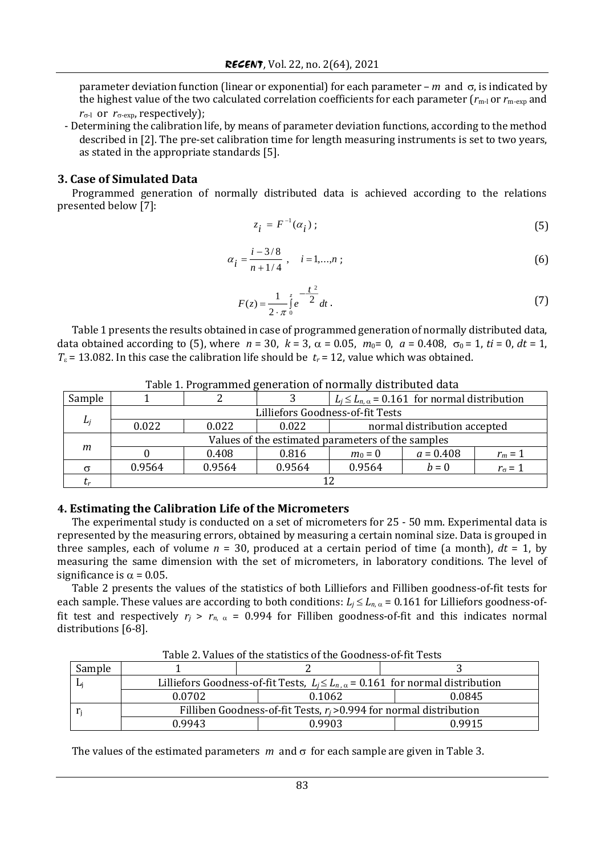parameter deviation function (linear or exponential) for each parameter –  $m$  and  $\sigma$ , is indicated by the highest value of the two calculated correlation coefficients for each parameter  $(r_{m-l})$  or  $r_{m-exp}$  and  $r_{\sigma-1}$  or  $r_{\sigma-exp}$ , respectively);

- Determining the calibration life, by means of parameter deviation functions, according to the method described in [2]. The pre-set calibration time for length measuring instruments is set to two years, as stated in the appropriate standards [5].

### **3. Case of Simulated Data**

Programmed generation of normally distributed data is achieved according to the relations presented below [7]:

$$
z_i = F^{-1}(\alpha_i) \tag{5}
$$

$$
\alpha_i = \frac{i - 3/8}{n + 1/4}, \quad i = 1,...,n \tag{6}
$$

$$
F(z) = \frac{1}{2 \cdot \pi} \int_{0}^{z} e^{-\frac{t^{2}}{2}} dt.
$$
 (7)

Table 1 presents the results obtained in case of programmed generation of normally distributed data, data obtained according to (5), where  $n = 30$ ,  $k = 3$ ,  $\alpha = 0.05$ ,  $m_0 = 0$ ,  $a = 0.408$ ,  $\sigma_0 = 1$ ,  $ti = 0$ ,  $dt = 1$ ,  $T<sub>\epsilon</sub>$  = 13.082. In this case the calibration life should be  $t<sub>r</sub>$  = 12, value which was obtained.

| Table 11110, annihed generation of hormany albumbated data |                                                   |        |        |                                                        |             |                  |
|------------------------------------------------------------|---------------------------------------------------|--------|--------|--------------------------------------------------------|-------------|------------------|
| Sample                                                     |                                                   |        |        | $L_i \le L_{n,\alpha} = 0.161$ for normal distribution |             |                  |
| L <sub>i</sub>                                             | Lilliefors Goodness-of-fit Tests                  |        |        |                                                        |             |                  |
|                                                            | 0.022                                             | 0.022  | 0.022  | normal distribution accepted                           |             |                  |
| m                                                          | Values of the estimated parameters of the samples |        |        |                                                        |             |                  |
|                                                            |                                                   | 0.408  | 0.816  | $m_0 = 0$                                              | $a = 0.408$ | $r_m = 1$        |
|                                                            | 0.9564                                            | 0.9564 | 0.9564 | 0.9564                                                 | $b=0$       | $r_{\sigma} = 1$ |
| $\mathbf{r}$                                               |                                                   |        |        |                                                        |             |                  |

Table 1. Programmed generation of normally distributed data

### **4. Estimating the Calibration Life of the Micrometers**

The experimental study is conducted on a set of micrometers for 25 - 50 mm. Experimental data is represented by the measuring errors, obtained by measuring a certain nominal size. Data is grouped in three samples, each of volume  $n = 30$ , produced at a certain period of time (a month),  $dt = 1$ , by measuring the same dimension with the set of micrometers, in laboratory conditions. The level of significance is  $\alpha$  = 0.05.

Table 2 presents the values of the statistics of both Lilliefors and Filliben goodness-of-fit tests for each sample. These values are according to both conditions:  $L_j \le L_{n,\alpha} = 0.161$  for Lilliefors goodness-offit test and respectively  $r_i > r_{n, \alpha} = 0.994$  for Filliben goodness-of-fit and this indicates normal distributions [6-8].

| Tuble <b>E</b> runce of the statistics of the goodness of he rests |                                                                                          |        |        |  |  |  |
|--------------------------------------------------------------------|------------------------------------------------------------------------------------------|--------|--------|--|--|--|
| Sample                                                             |                                                                                          |        |        |  |  |  |
|                                                                    | Lilliefors Goodness-of-fit Tests, $L_i \le L_{n,\alpha} = 0.161$ for normal distribution |        |        |  |  |  |
|                                                                    | 0.0702                                                                                   | 0.1062 | 0.0845 |  |  |  |
|                                                                    | Filliben Goodness-of-fit Tests, $r_i$ >0.994 for normal distribution                     |        |        |  |  |  |
|                                                                    | 0.9943                                                                                   | 0.9903 | ገ 9915 |  |  |  |

Table 2. Values of the statistics of the Goodness-of-fit Tests

The values of the estimated parameters  $m$  and  $\sigma$  for each sample are given in Table 3.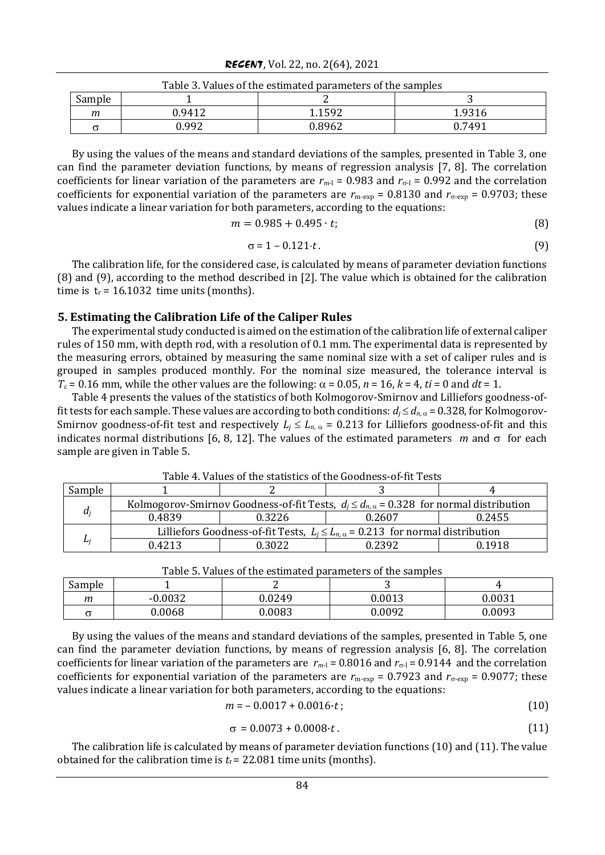| RECENT, Vol. 22, no. 2(64), 2021 |  |  |  |  |
|----------------------------------|--|--|--|--|
|----------------------------------|--|--|--|--|

| Table 3. Values of the estimated parameters of the samples |        |        |        |  |
|------------------------------------------------------------|--------|--------|--------|--|
| Sample                                                     |        |        |        |  |
| т                                                          | ).9412 | 1.1592 | 1.9316 |  |
|                                                            | 0.992  | 0.8962 | 0.7491 |  |

Table 3. Values of the estimated parameters of the samples

By using the values of the means and standard deviations of the samples, presented in Table 3, one can find the parameter deviation functions, by means of regression analysis [7, 8]. The correlation coefficients for linear variation of the parameters are  $r_{m-l}$  = 0.983 and  $r_{\sigma-l}$  = 0.992 and the correlation coefficients for exponential variation of the parameters are  $r_{\text{m-exp}} = 0.8130$  and  $r_{\text{\sigma-exp}} = 0.9703$ ; these values indicate a linear variation for both parameters, according to the equations:

$$
m = 0.985 + 0.495 \cdot t; \tag{8}
$$

$$
\sigma = 1 - 0.121 \cdot t \tag{9}
$$

The calibration life, for the considered case, is calculated by means of parameter deviation functions (8) and (9), according to the method described in [2]. The value which is obtained for the calibration time is  $t_r = 16.1032$  time units (months).

### **5. Estimating the Calibration Life of the Caliper Rules**

The experimental study conducted is aimed on the estimation of the calibration life of external caliper rules of 150 mm, with depth rod, with a resolution of 0.1 mm. The experimental data is represented by the measuring errors, obtained by measuring the same nominal size with a set of caliper rules and is grouped in samples produced monthly. For the nominal size measured, the tolerance interval is  $T<sub>s</sub> = 0.16$  mm, while the other values are the following:  $\alpha = 0.05$ ,  $n = 16$ ,  $k = 4$ ,  $ti = 0$  and  $dt = 1$ .

Table 4 presents the values of the statistics of both Kolmogorov-Smirnov and Lilliefors goodness-offit tests for each sample. These values are according to both conditions:  $d_j \leq d_{n,\alpha}$  = 0.328, for Kolmogorov-Smirnov goodness-of-fit test and respectively  $L_j \le L_{n_i, \alpha} = 0.213$  for Lilliefors goodness-of-fit and this indicates normal distributions [6, 8, 12]. The values of the estimated parameters *m* and  $\sigma$  for each sample are given in Table 5.

| Sample |                                                                                                   |        |        |        |  |
|--------|---------------------------------------------------------------------------------------------------|--------|--------|--------|--|
| di     | Kolmogorov-Smirnov Goodness-of-fit Tests, $d_i \leq d_{n,\alpha} = 0.328$ for normal distribution |        |        |        |  |
|        | 0.4839                                                                                            | 0.3226 | 0.2607 | 0.2455 |  |
|        | Lilliefors Goodness-of-fit Tests, $L_i \le L_{n,\alpha} = 0.213$ for normal distribution          |        |        |        |  |
|        | 0.4213                                                                                            | 0.3022 | 1.2392 | 0.1918 |  |

Table 4. Values of the statistics of the Goodness-of-fit Tests

| l able 5. Values of the estimated parameters of the samples |           |        |        |        |  |
|-------------------------------------------------------------|-----------|--------|--------|--------|--|
| Sample                                                      |           |        |        |        |  |
| т                                                           | $-0.0032$ | 0.0249 | 0.0013 | 0.0031 |  |
|                                                             | 0.0068    | 0.0083 | 0.0092 | 0.0093 |  |

Table 5. Values of the estimated parameters of the samples

By using the values of the means and standard deviations of the samples, presented in Table 5, one can find the parameter deviation functions, by means of regression analysis [6, 8]. The correlation coefficients for linear variation of the parameters are  $r_{m-1} = 0.8016$  and  $r_{\sigma-1} = 0.9144$  and the correlation coefficients for exponential variation of the parameters are  $r_{\text{m-exp}} = 0.7923$  and  $r_{\text{\sigma-exp}} = 0.9077$ ; these values indicate a linear variation for both parameters, according to the equations:

$$
m = -0.0017 + 0.0016 \cdot t \tag{10}
$$

$$
\sigma = 0.0073 + 0.0008 \cdot t. \tag{11}
$$

The calibration life is calculated by means of parameter deviation functions (10) and (11). The value obtained for the calibration time is  $t_r = 22.081$  time units (months).